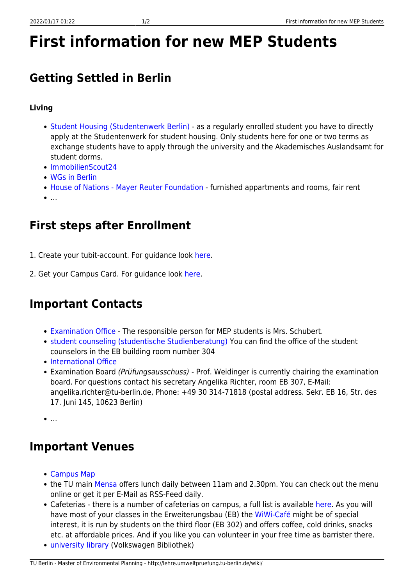# **First information for new MEP Students**

# **Getting Settled in Berlin**

#### **Living**

- [Student Housing \(Studentenwerk Berlin\)](http://www.studentenwerk-berlin.de/en/wohnen/wohnheimseite/index.html)  as a regularly enrolled student you have to directly apply at the Studentenwerk for student housing. Only students here for one or two terms as exchange students have to apply through the university and the Akademisches Auslandsamt for student dorms.
- [ImmobilienScout24](http://www.immobilienscout24.de/de/)
- [WGs in Berlin](http://www.wg-gesucht.de/)
- [House of Nations Mayer Reuter Foundation](http://house-of-nations.de/cms/en/home.html/)  furnished appartments and rooms, fair rent
- $\bullet$

### **First steps after Enrollment**

- 1. Create your tubit-account. For guidance look [here.](http://www.tubit.tu-berlin.de/menue/dienste/konto_karte/tubit-konto_erstellen/parameter/en/)
- 2. Get your Campus Card. For guidance look [here](http://www.tubit.tu-berlin.de/menue/dienste/account_campus_card/campus_card/parameter/en/).

#### **Important Contacts**

- [Examination Office](http://www.pruefungen.tu-berlin.de/menue/ansprechpartner/team_3/) The responsible person for MEP students is Mrs. Schubert.
- [student counseling \(studentische Studienberatung\)](http://www.t3ilaup.tu-berlin.de/index.php?id=stubera_home) You can find the office of the student counselors in the EB building room number 304
- [International Office](http://www.auslandsamt.tu-berlin.de/international-office/id_akademisches_auslandsamt/parameter/en/)
- Examination Board (Prüfungsausschuss) Prof. Weidinger is currently chairing the examination board. For questions contact his secretary Angelika Richter, room EB 307, E-Mail: angelika.richter@tu-berlin.de, Phone: +49 30 314-71818 (postal address. Sekr. EB 16, Str. des 17. Juni 145, 10623 Berlin)
- $\bullet$

# **Important Venues**

- [Campus Map](http://www.tu-berlin.de/menue/service/standortuebersicht/)
- the TU main [Mensa](http://www.studentenwerk-berlin.de/mensen/mensen_cafeterien/mensa_tu_hardenbergstrasse/index.html) offers lunch daily between 11am and 2.30pm. You can check out the menu online or get it per E-Mail as RSS-Feed daily.
- Cafeterias there is a number of cafeterias on campus, a full list is available [here.](http://www.tu-berlin.de/menue/service/campus-leben/mensen_cafes/) As you will have most of your classes in the Erweiterungsbau (EB) the [WiWi-Café](http://www.wiwicafe.de/) might be of special interest, it is run by students on the third floor (EB 302) and offers coffee, cold drinks, snacks etc. at affordable prices. And if you like you can volunteer in your free time as barrister there.
- [university library](http://www.ub.tu-berlin.de/) (Volkswagen Bibliothek)